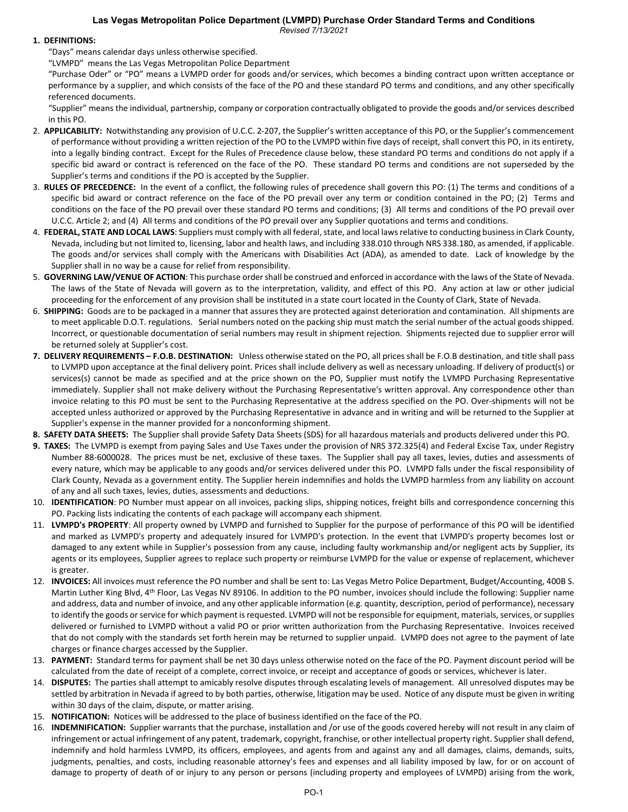# **Las Vegas Metropolitan Police Department (LVMPD) Purchase Order Standard Terms and Conditions**

*Revised 7/13/2021*

## **1. DEFINITIONS:**

"Days" means calendar days unless otherwise specified.

"LVMPD" means the Las Vegas Metropolitan Police Department

"Purchase Oder" or "PO" means a LVMPD order for goods and/or services, which becomes a binding contract upon written acceptance or performance by a supplier, and which consists of the face of the PO and these standard PO terms and conditions, and any other specifically referenced documents.

"Supplier" means the individual, partnership, company or corporation contractually obligated to provide the goods and/or services described in this PO.

- 2. **APPLICABILITY:** Notwithstanding any provision of U.C.C. 2-207, the Supplier's written acceptance of this PO, or the Supplier's commencement of performance without providing a written rejection of the PO to the LVMPD within five days of receipt, shall convert this PO, in its entirety, into a legally binding contract. Except for the Rules of Precedence clause below, these standard PO terms and conditions do not apply if a specific bid award or contract is referenced on the face of the PO. These standard PO terms and conditions are not superseded by the Supplier's terms and conditions if the PO is accepted by the Supplier.
- 3. **RULES OF PRECEDENCE:** In the event of a conflict, the following rules of precedence shall govern this PO: (1) The terms and conditions of a specific bid award or contract reference on the face of the PO prevail over any term or condition contained in the PO; (2) Terms and conditions on the face of the PO prevail over these standard PO terms and conditions; (3) All terms and conditions of the PO prevail over U.C.C. Article 2; and (4) All terms and conditions of the PO prevail over any Supplier quotations and terms and conditions.
- 4. **FEDERAL, STATE AND LOCAL LAWS**: Suppliers must comply with all federal, state, and local laws relative to conducting business in Clark County, Nevada, including but not limited to, licensing, labor and health laws, and including 338.010 through NRS 338.180, as amended, if applicable. The goods and/or services shall comply with the Americans with Disabilities Act (ADA), as amended to date. Lack of knowledge by the Supplier shall in no way be a cause for relief from responsibility.
- 5. **GOVERNING LAW/VENUE OF ACTION**: This purchase order shall be construed and enforced in accordance with the laws of the State of Nevada. The laws of the State of Nevada will govern as to the interpretation, validity, and effect of this PO. Any action at law or other judicial proceeding for the enforcement of any provision shall be instituted in a state court located in the County of Clark, State of Nevada.
- 6. **SHIPPING:** Goods are to be packaged in a manner that assures they are protected against deterioration and contamination. All shipments are to meet applicable D.O.T. regulations. Serial numbers noted on the packing ship must match the serial number of the actual goods shipped. Incorrect, or questionable documentation of serial numbers may result in shipment rejection. Shipments rejected due to supplier error will be returned solely at Supplier's cost.
- **7. DELIVERY REQUIREMENTS – F.O.B. DESTINATION:** Unless otherwise stated on the PO, all prices shall be F.O.B destination, and title shall pass to LVMPD upon acceptance at the final delivery point. Prices shall include delivery as well as necessary unloading. If delivery of product(s) or services(s) cannot be made as specified and at the price shown on the PO, Supplier must notify the LVMPD Purchasing Representative immediately. Supplier shall not make delivery without the Purchasing Representative's written approval. Any correspondence other than invoice relating to this PO must be sent to the Purchasing Representative at the address specified on the PO. Over-shipments will not be accepted unless authorized or approved by the Purchasing Representative in advance and in writing and will be returned to the Supplier at Supplier's expense in the manner provided for a nonconforming shipment.
- **8. SAFETY DATA SHEETS:** The Supplier shall provide Safety Data Sheets (SDS) for all hazardous materials and products delivered under this PO.
- **9. TAXES:** The LVMPD is exempt from paying Sales and Use Taxes under the provision of NRS 372.325(4) and Federal Excise Tax, under Registry Number 88-6000028. The prices must be net, exclusive of these taxes. The Supplier shall pay all taxes, levies, duties and assessments of every nature, which may be applicable to any goods and/or services delivered under this PO. LVMPD falls under the fiscal responsibility of Clark County, Nevada as a government entity. The Supplier herein indemnifies and holds the LVMPD harmless from any liability on account of any and all such taxes, levies, duties, assessments and deductions.
- 10. **IDENTIFICATION**: PO Number must appear on all invoices, packing slips, shipping notices, freight bills and correspondence concerning this PO. Packing lists indicating the contents of each package will accompany each shipment.
- 11. **LVMPD's PROPERTY**: All property owned by LVMPD and furnished to Supplier for the purpose of performance of this PO will be identified and marked as LVMPD's property and adequately insured for LVMPD's protection. In the event that LVMPD's property becomes lost or damaged to any extent while in Supplier's possession from any cause, including faulty workmanship and/or negligent acts by Supplier, its agents or its employees, Supplier agrees to replace such property or reimburse LVMPD for the value or expense of replacement, whichever is greater.
- 12. **INVOICES:** All invoices must reference the PO number and shall be sent to: Las Vegas Metro Police Department, Budget/Accounting, 400B S. Martin Luther King Blvd, 4<sup>th</sup> Floor, Las Vegas NV 89106. In addition to the PO number, invoices should include the following: Supplier name and address, data and number of invoice, and any other applicable information (e.g. quantity, description, period of performance), necessary to identify the goods or service for which payment is requested. LVMPD will not be responsible for equipment, materials, services, or supplies delivered or furnished to LVMPD without a valid PO or prior written authorization from the Purchasing Representative. Invoices received that do not comply with the standards set forth herein may be returned to supplier unpaid. LVMPD does not agree to the payment of late charges or finance charges accessed by the Supplier.
- 13. **PAYMENT:** Standard terms for payment shall be net 30 days unless otherwise noted on the face of the PO. Payment discount period will be calculated from the date of receipt of a complete, correct invoice, or receipt and acceptance of goods or services, whichever is later.
- 14. **DISPUTES:** The parties shall attempt to amicably resolve disputes through escalating levels of management. All unresolved disputes may be settled by arbitration in Nevada if agreed to by both parties, otherwise, litigation may be used. Notice of any dispute must be given in writing within 30 days of the claim, dispute, or matter arising.
- 15. **NOTIFICATION:** Notices will be addressed to the place of business identified on the face of the PO.
- 16. **INDEMNIFICATION:** Supplier warrants that the purchase, installation and /or use of the goods covered hereby will not result in any claim of infringement or actual infringement of any patent, trademark, copyright, franchise, or other intellectual property right. Supplier shall defend, indemnify and hold harmless LVMPD, its officers, employees, and agents from and against any and all damages, claims, demands, suits, judgments, penalties, and costs, including reasonable attorney's fees and expenses and all liability imposed by law, for or on account of damage to property of death of or injury to any person or persons (including property and employees of LVMPD) arising from the work,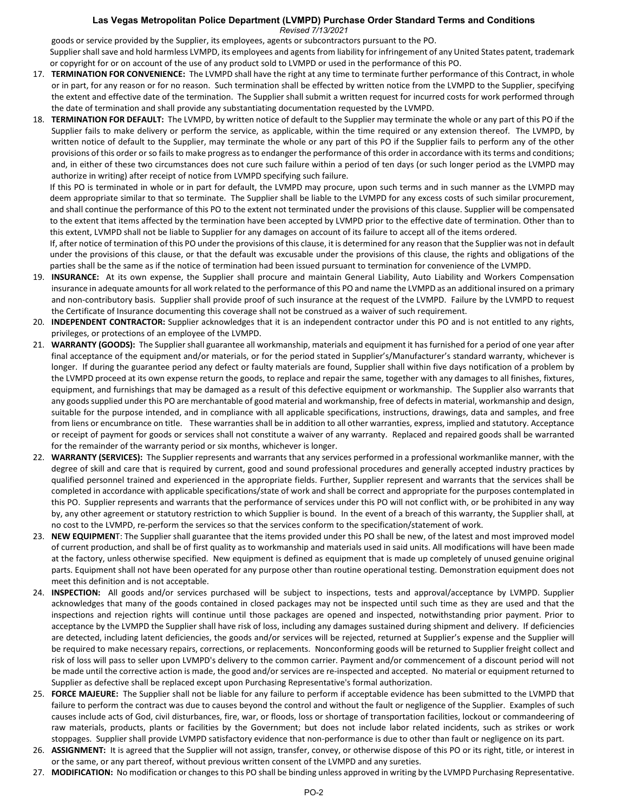#### **Las Vegas Metropolitan Police Department (LVMPD) Purchase Order Standard Terms and Conditions** *Revised 7/13/2021*

goods or service provided by the Supplier, its employees, agents or subcontractors pursuant to the PO.

Supplier shall save and hold harmless LVMPD, its employees and agents from liability for infringement of any United States patent, trademark or copyright for or on account of the use of any product sold to LVMPD or used in the performance of this PO.

- 17. **TERMINATION FOR CONVENIENCE:** The LVMPD shall have the right at any time to terminate further performance of this Contract, in whole or in part, for any reason or for no reason. Such termination shall be effected by written notice from the LVMPD to the Supplier, specifying the extent and effective date of the termination. The Supplier shall submit a written request for incurred costs for work performed through the date of termination and shall provide any substantiating documentation requested by the LVMPD.
- 18. **TERMINATION FOR DEFAULT:** The LVMPD, by written notice of default to the Supplier may terminate the whole or any part of this PO if the Supplier fails to make delivery or perform the service, as applicable, within the time required or any extension thereof. The LVMPD, by written notice of default to the Supplier, may terminate the whole or any part of this PO if the Supplier fails to perform any of the other provisions of this order or so fails to make progress as to endanger the performance of this order in accordance with its terms and conditions; and, in either of these two circumstances does not cure such failure within a period of ten days (or such longer period as the LVMPD may authorize in writing) after receipt of notice from LVMPD specifying such failure.

If this PO is terminated in whole or in part for default, the LVMPD may procure, upon such terms and in such manner as the LVMPD may deem appropriate similar to that so terminate. The Supplier shall be liable to the LVMPD for any excess costs of such similar procurement, and shall continue the performance of this PO to the extent not terminated under the provisions of this clause. Supplier will be compensated to the extent that items affected by the termination have been accepted by LVMPD prior to the effective date of termination. Other than to this extent, LVMPD shall not be liable to Supplier for any damages on account of its failure to accept all of the items ordered.

If, after notice of termination of this PO under the provisions of this clause, it is determined for any reason that the Supplier was not in default under the provisions of this clause, or that the default was excusable under the provisions of this clause, the rights and obligations of the parties shall be the same as if the notice of termination had been issued pursuant to termination for convenience of the LVMPD.

- 19. **INSURANCE:** At its own expense, the Supplier shall procure and maintain General Liability, Auto Liability and Workers Compensation insurance in adequate amounts for all work related to the performance of this PO and name the LVMPD as an additional insured on a primary and non-contributory basis. Supplier shall provide proof of such insurance at the request of the LVMPD. Failure by the LVMPD to request the Certificate of Insurance documenting this coverage shall not be construed as a waiver of such requirement.
- 20. **INDEPENDENT CONTRACTOR:** Supplier acknowledges that it is an independent contractor under this PO and is not entitled to any rights, privileges, or protections of an employee of the LVMPD.
- 21. **WARRANTY (GOODS):** The Supplier shall guarantee all workmanship, materials and equipment it has furnished for a period of one year after final acceptance of the equipment and/or materials, or for the period stated in Supplier's/Manufacturer's standard warranty, whichever is longer. If during the guarantee period any defect or faulty materials are found, Supplier shall within five days notification of a problem by the LVMPD proceed at its own expense return the goods, to replace and repair the same, together with any damages to all finishes, fixtures, equipment, and furnishings that may be damaged as a result of this defective equipment or workmanship. The Supplier also warrants that any goods supplied under this PO are merchantable of good material and workmanship, free of defects in material, workmanship and design, suitable for the purpose intended, and in compliance with all applicable specifications, instructions, drawings, data and samples, and free from liens or encumbrance on title. These warranties shall be in addition to all other warranties, express, implied and statutory. Acceptance or receipt of payment for goods or services shall not constitute a waiver of any warranty. Replaced and repaired goods shall be warranted for the remainder of the warranty period or six months, whichever is longer.
- 22. **WARRANTY (SERVICES):** The Supplier represents and warrants that any services performed in a professional workmanlike manner, with the degree of skill and care that is required by current, good and sound professional procedures and generally accepted industry practices by qualified personnel trained and experienced in the appropriate fields. Further, Supplier represent and warrants that the services shall be completed in accordance with applicable specifications/state of work and shall be correct and appropriate for the purposes contemplated in this PO. Supplier represents and warrants that the performance of services under this PO will not conflict with, or be prohibited in any way by, any other agreement or statutory restriction to which Supplier is bound. In the event of a breach of this warranty, the Supplier shall, at no cost to the LVMPD, re-perform the services so that the services conform to the specification/statement of work.
- 23. **NEW EQUIPMEN**T: The Supplier shall guarantee that the items provided under this PO shall be new, of the latest and most improved model of current production, and shall be of first quality as to workmanship and materials used in said units. All modifications will have been made at the factory, unless otherwise specified. New equipment is defined as equipment that is made up completely of unused genuine original parts. Equipment shall not have been operated for any purpose other than routine operational testing. Demonstration equipment does not meet this definition and is not acceptable.
- 24. **INSPECTION:** All goods and/or services purchased will be subject to inspections, tests and approval/acceptance by LVMPD. Supplier acknowledges that many of the goods contained in closed packages may not be inspected until such time as they are used and that the inspections and rejection rights will continue until those packages are opened and inspected, notwithstanding prior payment. Prior to acceptance by the LVMPD the Supplier shall have risk of loss, including any damages sustained during shipment and delivery. If deficiencies are detected, including latent deficiencies, the goods and/or services will be rejected, returned at Supplier's expense and the Supplier will be required to make necessary repairs, corrections, or replacements. Nonconforming goods will be returned to Supplier freight collect and risk of loss will pass to seller upon LVMPD's delivery to the common carrier. Payment and/or commencement of a discount period will not be made until the corrective action is made, the good and/or services are re-inspected and accepted. No material or equipment returned to Supplier as defective shall be replaced except upon Purchasing Representative's formal authorization.
- 25. **FORCE MAJEURE:** The Supplier shall not be liable for any failure to perform if acceptable evidence has been submitted to the LVMPD that failure to perform the contract was due to causes beyond the control and without the fault or negligence of the Supplier. Examples of such causes include acts of God, civil disturbances, fire, war, or floods, loss or shortage of transportation facilities, lockout or commandeering of raw materials, products, plants or facilities by the Government; but does not include labor related incidents, such as strikes or work stoppages. Supplier shall provide LVMPD satisfactory evidence that non-performance is due to other than fault or negligence on its part.
- 26. **ASSIGNMENT:** It is agreed that the Supplier will not assign, transfer, convey, or otherwise dispose of this PO or its right, title, or interest in or the same, or any part thereof, without previous written consent of the LVMPD and any sureties.
- 27. **MODIFICATION:** No modification or changes to this PO shall be binding unless approved in writing by the LVMPD Purchasing Representative.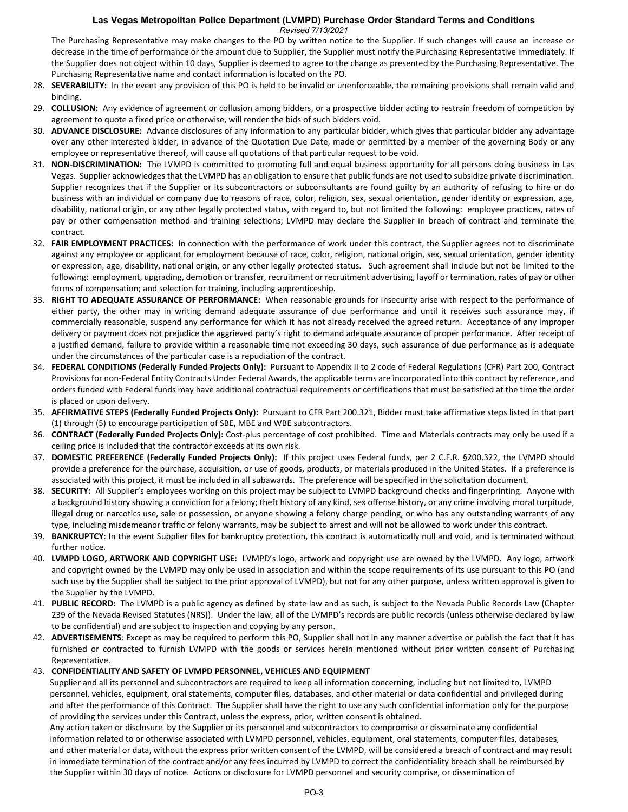### **Las Vegas Metropolitan Police Department (LVMPD) Purchase Order Standard Terms and Conditions** *Revised 7/13/2021*

The Purchasing Representative may make changes to the PO by written notice to the Supplier. If such changes will cause an increase or decrease in the time of performance or the amount due to Supplier, the Supplier must notify the Purchasing Representative immediately. If the Supplier does not object within 10 days, Supplier is deemed to agree to the change as presented by the Purchasing Representative. The Purchasing Representative name and contact information is located on the PO.

- 28. **SEVERABILITY:** In the event any provision of this PO is held to be invalid or unenforceable, the remaining provisions shall remain valid and binding.
- 29. **COLLUSION:** Any evidence of agreement or collusion among bidders, or a prospective bidder acting to restrain freedom of competition by agreement to quote a fixed price or otherwise, will render the bids of such bidders void.
- 30. **ADVANCE DISCLOSURE:** Advance disclosures of any information to any particular bidder, which gives that particular bidder any advantage over any other interested bidder, in advance of the Quotation Due Date, made or permitted by a member of the governing Body or any employee or representative thereof, will cause all quotations of that particular request to be void.
- 31. **NON-DISCRIMINATION:** The LVMPD is committed to promoting full and equal business opportunity for all persons doing business in Las Vegas. Supplier acknowledges that the LVMPD has an obligation to ensure that public funds are not used to subsidize private discrimination. Supplier recognizes that if the Supplier or its subcontractors or subconsultants are found guilty by an authority of refusing to hire or do business with an individual or company due to reasons of race, color, religion, sex, sexual orientation, gender identity or expression, age, disability, national origin, or any other legally protected status, with regard to, but not limited the following: employee practices, rates of pay or other compensation method and training selections; LVMPD may declare the Supplier in breach of contract and terminate the contract.
- 32. **FAIR EMPLOYMENT PRACTICES:** In connection with the performance of work under this contract, the Supplier agrees not to discriminate against any employee or applicant for employment because of race, color, religion, national origin, sex, sexual orientation, gender identity or expression, age, disability, national origin, or any other legally protected status. Such agreement shall include but not be limited to the following: employment, upgrading, demotion or transfer, recruitment or recruitment advertising, layoff or termination, rates of pay or other forms of compensation; and selection for training, including apprenticeship.
- 33. **RIGHT TO ADEQUATE ASSURANCE OF PERFORMANCE:** When reasonable grounds for insecurity arise with respect to the performance of either party, the other may in writing demand adequate assurance of due performance and until it receives such assurance may, if commercially reasonable, suspend any performance for which it has not already received the agreed return. Acceptance of any improper delivery or payment does not prejudice the aggrieved party's right to demand adequate assurance of proper performance. After receipt of a justified demand, failure to provide within a reasonable time not exceeding 30 days, such assurance of due performance as is adequate under the circumstances of the particular case is a repudiation of the contract.
- 34. **FEDERAL CONDITIONS (Federally Funded Projects Only):** Pursuant to Appendix II to 2 code of Federal Regulations (CFR) Part 200, Contract Provisions for non-Federal Entity Contracts Under Federal Awards, the applicable terms are incorporated into this contract by reference, and orders funded with Federal funds may have additional contractual requirements or certifications that must be satisfied at the time the order is placed or upon delivery.
- 35. **AFFIRMATIVE STEPS (Federally Funded Projects Only):** Pursuant to CFR Part 200.321, Bidder must take affirmative steps listed in that part (1) through (5) to encourage participation of SBE, MBE and WBE subcontractors.
- 36. **CONTRACT (Federally Funded Projects Only):** Cost-plus percentage of cost prohibited. Time and Materials contracts may only be used if a ceiling price is included that the contractor exceeds at its own risk.
- 37. **DOMESTIC PREFERENCE (Federally Funded Projects Only):** If this project uses Federal funds, per 2 C.F.R. §200.322, the LVMPD should provide a preference for the purchase, acquisition, or use of goods, products, or materials produced in the United States. If a preference is associated with this project, it must be included in all subawards. The preference will be specified in the solicitation document.
- 38. **SECURITY:** All Supplier's employees working on this project may be subject to LVMPD background checks and fingerprinting. Anyone with a background history showing a conviction for a felony; theft history of any kind, sex offense history, or any crime involving moral turpitude, illegal drug or narcotics use, sale or possession, or anyone showing a felony charge pending, or who has any outstanding warrants of any type, including misdemeanor traffic or felony warrants, may be subject to arrest and will not be allowed to work under this contract.
- 39. **BANKRUPTCY**: In the event Supplier files for bankruptcy protection, this contract is automatically null and void, and is terminated without further notice.
- 40. **LVMPD LOGO, ARTWORK AND COPYRIGHT USE:** LVMPD's logo, artwork and copyright use are owned by the LVMPD. Any logo, artwork and copyright owned by the LVMPD may only be used in association and within the scope requirements of its use pursuant to this PO (and such use by the Supplier shall be subject to the prior approval of LVMPD), but not for any other purpose, unless written approval is given to the Supplier by the LVMPD.
- 41. **PUBLIC RECORD:** The LVMPD is a public agency as defined by state law and as such, is subject to the Nevada Public Records Law (Chapter 239 of the Nevada Revised Statutes (NRS)). Under the law, all of the LVMPD's records are public records (unless otherwise declared by law to be confidential) and are subject to inspection and copying by any person.
- 42. **ADVERTISEMENTS**: Except as may be required to perform this PO, Supplier shall not in any manner advertise or publish the fact that it has furnished or contracted to furnish LVMPD with the goods or services herein mentioned without prior written consent of Purchasing Representative.

### 43. **CONFIDENTIALITY AND SAFETY OF LVMPD PERSONNEL, VEHICLES AND EQUIPMENT**

Supplier and all its personnel and subcontractors are required to keep all information concerning, including but not limited to, LVMPD personnel, vehicles, equipment, oral statements, computer files, databases, and other material or data confidential and privileged during and after the performance of this Contract. The Supplier shall have the right to use any such confidential information only for the purpose of providing the services under this Contract, unless the express, prior, written consent is obtained.

Any action taken or disclosure by the Supplier or its personnel and subcontractors to compromise or disseminate any confidential information related to or otherwise associated with LVMPD personnel, vehicles, equipment, oral statements, computer files, databases, and other material or data, without the express prior written consent of the LVMPD, will be considered a breach of contract and may result in immediate termination of the contract and/or any fees incurred by LVMPD to correct the confidentiality breach shall be reimbursed by the Supplier within 30 days of notice. Actions or disclosure for LVMPD personnel and security comprise, or dissemination of